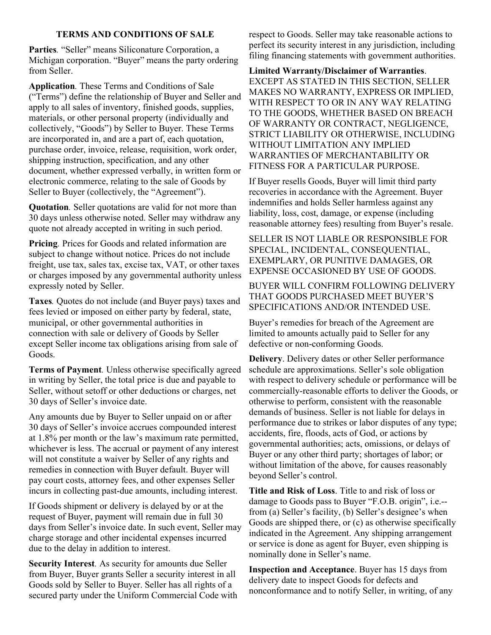## TERMS AND CONDITIONS OF SALE

Parties. "Seller" means Siliconature Corporation, a Michigan corporation. "Buyer" means the party ordering from Seller.

Application. These Terms and Conditions of Sale ("Terms") define the relationship of Buyer and Seller and apply to all sales of inventory, finished goods, supplies, materials, or other personal property (individually and collectively, "Goods") by Seller to Buyer. These Terms are incorporated in, and are a part of, each quotation, purchase order, invoice, release, requisition, work order, shipping instruction, specification, and any other document, whether expressed verbally, in written form or electronic commerce, relating to the sale of Goods by Seller to Buyer (collectively, the "Agreement").

Quotation. Seller quotations are valid for not more than 30 days unless otherwise noted. Seller may withdraw any quote not already accepted in writing in such period.

Pricing. Prices for Goods and related information are subject to change without notice. Prices do not include freight, use tax, sales tax, excise tax, VAT, or other taxes or charges imposed by any governmental authority unless expressly noted by Seller.

Taxes. Quotes do not include (and Buyer pays) taxes and fees levied or imposed on either party by federal, state, municipal, or other governmental authorities in connection with sale or delivery of Goods by Seller except Seller income tax obligations arising from sale of Goods.

Terms of Payment. Unless otherwise specifically agreed in writing by Seller, the total price is due and payable to Seller, without setoff or other deductions or charges, net 30 days of Seller's invoice date.

Any amounts due by Buyer to Seller unpaid on or after 30 days of Seller's invoice accrues compounded interest at 1.8% per month or the law's maximum rate permitted, whichever is less. The accrual or payment of any interest will not constitute a waiver by Seller of any rights and remedies in connection with Buyer default. Buyer will pay court costs, attorney fees, and other expenses Seller incurs in collecting past-due amounts, including interest.

If Goods shipment or delivery is delayed by or at the request of Buyer, payment will remain due in full 30 days from Seller's invoice date. In such event, Seller may charge storage and other incidental expenses incurred due to the delay in addition to interest.

Security Interest. As security for amounts due Seller from Buyer, Buyer grants Seller a security interest in all Goods sold by Seller to Buyer. Seller has all rights of a secured party under the Uniform Commercial Code with respect to Goods. Seller may take reasonable actions to perfect its security interest in any jurisdiction, including filing financing statements with government authorities.

Limited Warranty/Disclaimer of Warranties. EXCEPT AS STATED IN THIS SECTION, SELLER MAKES NO WARRANTY, EXPRESS OR IMPLIED, WITH RESPECT TO OR IN ANY WAY RELATING TO THE GOODS, WHETHER BASED ON BREACH OF WARRANTY OR CONTRACT, NEGLIGENCE, STRICT LIABILITY OR OTHERWISE, INCLUDING WITHOUT LIMITATION ANY IMPLIED WARRANTIES OF MERCHANTABILITY OR FITNESS FOR A PARTICULAR PURPOSE.

If Buyer resells Goods, Buyer will limit third party recoveries in accordance with the Agreement. Buyer indemnifies and holds Seller harmless against any liability, loss, cost, damage, or expense (including reasonable attorney fees) resulting from Buyer's resale.

SELLER IS NOT LIABLE OR RESPONSIBLE FOR SPECIAL, INCIDENTAL, CONSEQUENTIAL, EXEMPLARY, OR PUNITIVE DAMAGES, OR EXPENSE OCCASIONED BY USE OF GOODS.

BUYER WILL CONFIRM FOLLOWING DELIVERY THAT GOODS PURCHASED MEET BUYER'S SPECIFICATIONS AND/OR INTENDED USE.

Buyer's remedies for breach of the Agreement are limited to amounts actually paid to Seller for any defective or non-conforming Goods.

Delivery. Delivery dates or other Seller performance schedule are approximations. Seller's sole obligation with respect to delivery schedule or performance will be commercially-reasonable efforts to deliver the Goods, or otherwise to perform, consistent with the reasonable demands of business. Seller is not liable for delays in performance due to strikes or labor disputes of any type; accidents, fire, floods, acts of God, or actions by governmental authorities; acts, omissions, or delays of Buyer or any other third party; shortages of labor; or without limitation of the above, for causes reasonably beyond Seller's control.

Title and Risk of Loss. Title to and risk of loss or damage to Goods pass to Buyer "F.O.B. origin", i.e.- from (a) Seller's facility, (b) Seller's designee's when Goods are shipped there, or (c) as otherwise specifically indicated in the Agreement. Any shipping arrangement or service is done as agent for Buyer, even shipping is nominally done in Seller's name.

Inspection and Acceptance. Buyer has 15 days from delivery date to inspect Goods for defects and nonconformance and to notify Seller, in writing, of any